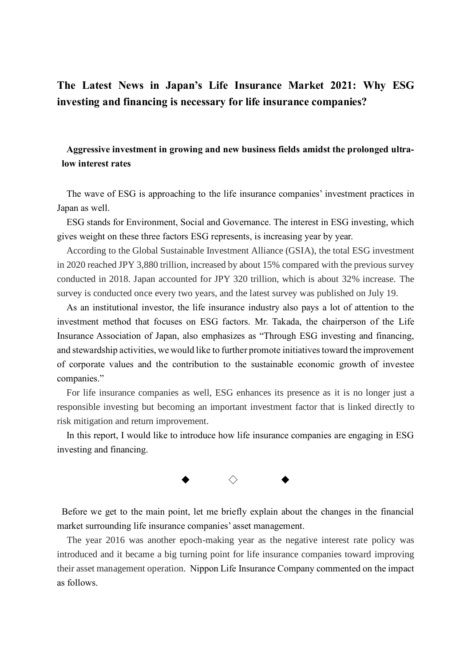# **The Latest News in Japan's Life Insurance Market 2021: Why ESG investing and financing is necessary for life insurance companies?**

# **Aggressive investment in growing and new business fields amidst the prolonged ultralow interest rates**

The wave of ESG is approaching to the life insurance companies' investment practices in Japan as well.

ESG stands for Environment, Social and Governance. The interest in ESG investing, which gives weight on these three factors ESG represents, is increasing year by year.

According to the Global Sustainable Investment Alliance (GSIA), the total ESG investment in 2020 reached JPY 3,880 trillion, increased by about 15% compared with the previous survey conducted in 2018. Japan accounted for JPY 320 trillion, which is about 32% increase. The survey is conducted once every two years, and the latest survey was published on July 19.

As an institutional investor, the life insurance industry also pays a lot of attention to the investment method that focuses on ESG factors. Mr. Takada, the chairperson of the Life Insurance Association of Japan, also emphasizes as "Through ESG investing and financing, and stewardship activities, we would like to further promote initiatives toward the improvement of corporate values and the contribution to the sustainable economic growth of investee companies."

For life insurance companies as well, ESG enhances its presence as it is no longer just a responsible investing but becoming an important investment factor that is linked directly to risk mitigation and return improvement.

In this report, I would like to introduce how life insurance companies are engaging in ESG investing and financing.



Before we get to the main point, let me briefly explain about the changes in the financial market surrounding life insurance companies' asset management.

The year 2016 was another epoch-making year as the negative interest rate policy was introduced and it became a big turning point for life insurance companies toward improving their asset management operation. Nippon Life Insurance Company commented on the impact as follows.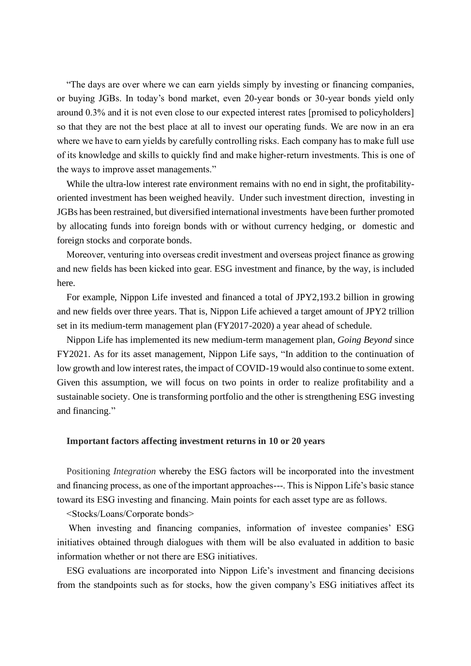"The days are over where we can earn yields simply by investing or financing companies, or buying JGBs. In today's bond market, even 20-year bonds or 30-year bonds yield only around 0.3% and it is not even close to our expected interest rates [promised to policyholders] so that they are not the best place at all to invest our operating funds. We are now in an era where we have to earn yields by carefully controlling risks. Each company has to make full use of its knowledge and skills to quickly find and make higher-return investments. This is one of the ways to improve asset managements."

While the ultra-low interest rate environment remains with no end in sight, the profitabilityoriented investment has been weighed heavily. Under such investment direction, investing in JGBs has been restrained, but diversified international investments have been further promoted by allocating funds into foreign bonds with or without currency hedging, or domestic and foreign stocks and corporate bonds.

Moreover, venturing into overseas credit investment and overseas project finance as growing and new fields has been kicked into gear. ESG investment and finance, by the way, is included here.

For example, Nippon Life invested and financed a total of JPY2,193.2 billion in growing and new fields over three years. That is, Nippon Life achieved a target amount of JPY2 trillion set in its medium-term management plan (FY2017-2020) a year ahead of schedule.

Nippon Life has implemented its new medium-term management plan, *Going Beyond* since FY2021. As for its asset management, Nippon Life says, "In addition to the continuation of low growth and low interest rates, the impact of COVID-19 would also continue to some extent. Given this assumption, we will focus on two points in order to realize profitability and a sustainable society. One is transforming portfolio and the other is strengthening ESG investing and financing."

# **Important factors affecting investment returns in 10 or 20 years**

Positioning *Integration* whereby the ESG factors will be incorporated into the investment and financing process, as one of the important approaches---. This is Nippon Life's basic stance toward its ESG investing and financing. Main points for each asset type are as follows.

<Stocks/Loans/Corporate bonds>

When investing and financing companies, information of investee companies' ESG initiatives obtained through dialogues with them will be also evaluated in addition to basic information whether or not there are ESG initiatives.

ESG evaluations are incorporated into Nippon Life's investment and financing decisions from the standpoints such as for stocks, how the given company's ESG initiatives affect its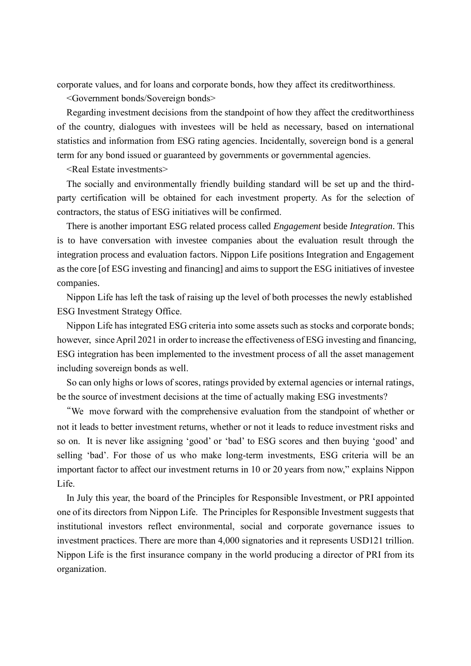corporate values, and for loans and corporate bonds, how they affect its creditworthiness.

<Government bonds/Sovereign bonds>

Regarding investment decisions from the standpoint of how they affect the creditworthiness of the country, dialogues with investees will be held as necessary, based on international statistics and information from ESG rating agencies. Incidentally, sovereign bond is a general term for any bond issued or guaranteed by governments or governmental agencies.

<Real Estate investments>

The socially and environmentally friendly building standard will be set up and the thirdparty certification will be obtained for each investment property. As for the selection of contractors, the status of ESG initiatives will be confirmed.

There is another important ESG related process called *Engagement* beside *Integration*. This is to have conversation with investee companies about the evaluation result through the integration process and evaluation factors. Nippon Life positions Integration and Engagement as the core [of ESG investing and financing] and aims to support the ESG initiatives of investee companies.

Nippon Life has left the task of raising up the level of both processes the newly established ESG Investment Strategy Office.

Nippon Life has integrated ESG criteria into some assets such as stocks and corporate bonds; however, since April 2021 in order to increase the effectiveness of ESG investing and financing, ESG integration has been implemented to the investment process of all the asset management including sovereign bonds as well.

 So can only highs or lows of scores, ratings provided by external agencies or internal ratings, be the source of investment decisions at the time of actually making ESG investments?

"We move forward with the comprehensive evaluation from the standpoint of whether or not it leads to better investment returns, whether or not it leads to reduce investment risks and so on. It is never like assigning 'good' or 'bad' to ESG scores and then buying 'good' and selling 'bad'. For those of us who make long-term investments, ESG criteria will be an important factor to affect our investment returns in 10 or 20 years from now," explains Nippon Life.

In July this year, the board of the Principles for Responsible Investment, or PRI appointed one of its directors from Nippon Life. The Principles for Responsible Investment suggests that institutional investors reflect environmental, social and corporate governance issues to investment practices. There are more than 4,000 signatories and it represents USD121 trillion. Nippon Life is the first insurance company in the world producing a director of PRI from its organization.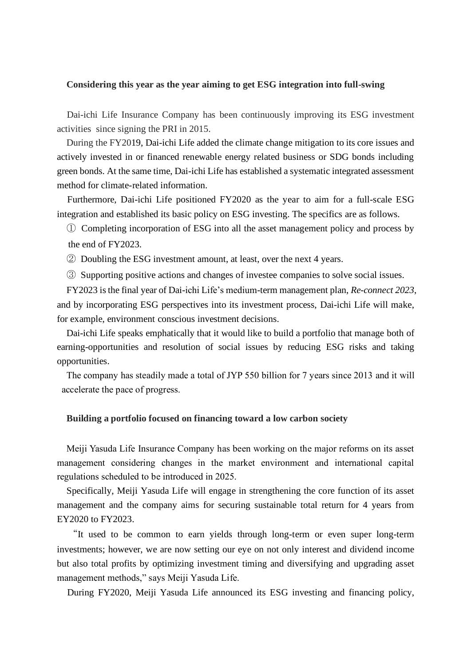#### **Considering this year as the year aiming to get ESG integration into full-swing**

Dai-ichi Life Insurance Company has been continuously improving its ESG investment activities since signing the PRI in 2015.

During the FY2019, Dai-ichi Life added the climate change mitigation to its core issues and actively invested in or financed renewable energy related business or SDG bonds including green bonds. At the same time, Dai-ichi Life has established a systematic integrated assessment method for climate-related information.

Furthermore, Dai-ichi Life positioned FY2020 as the year to aim for a full-scale ESG integration and established its basic policy on ESG investing. The specifics are as follows.

① Completing incorporation of ESG into all the asset management policy and process by the end of FY2023.

② Doubling the ESG investment amount, at least, over the next 4 years.

③ Supporting positive actions and changes of investee companies to solve social issues.

FY2023 is the final year of Dai-ichi Life's medium-term management plan, *Re-connect 2023*, and by incorporating ESG perspectives into its investment process, Dai-ichi Life will make, for example, environment conscious investment decisions.

Dai-ichi Life speaks emphatically that it would like to build a portfolio that manage both of earning-opportunities and resolution of social issues by reducing ESG risks and taking opportunities.

The company has steadily made a total of JYP 550 billion for 7 years since 2013 and it will accelerate the pace of progress.

# **Building a portfolio focused on financing toward a low carbon society**

Meiji Yasuda Life Insurance Company has been working on the major reforms on its asset management considering changes in the market environment and international capital regulations scheduled to be introduced in 2025.

Specifically, Meiji Yasuda Life will engage in strengthening the core function of its asset management and the company aims for securing sustainable total return for 4 years from EY2020 to FY2023.

"It used to be common to earn yields through long-term or even super long-term investments; however, we are now setting our eye on not only interest and dividend income but also total profits by optimizing investment timing and diversifying and upgrading asset management methods," says Meiji Yasuda Life.

During FY2020, Meiji Yasuda Life announced its ESG investing and financing policy,